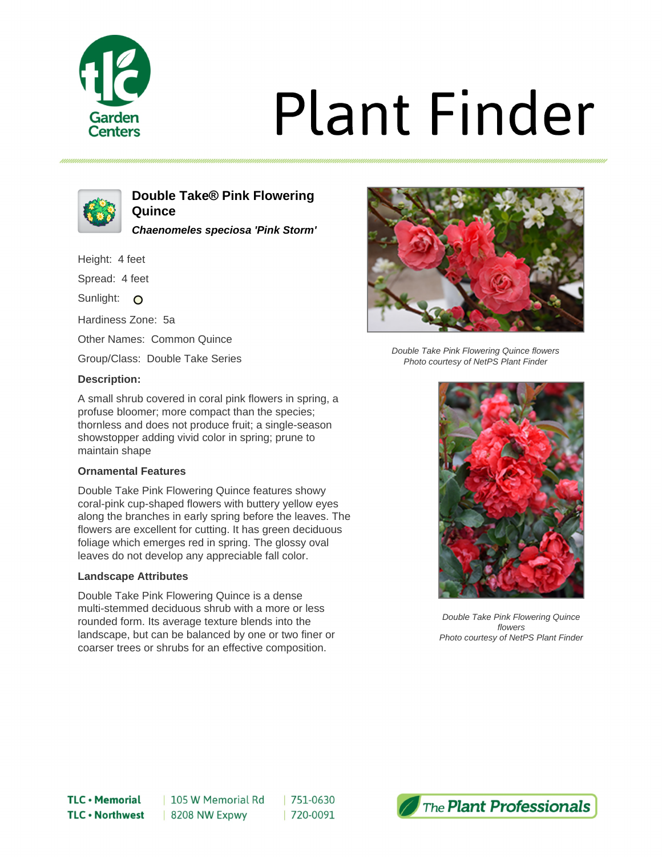

# **Plant Finder**



### **Double Take® Pink Flowering Quince**

**Chaenomeles speciosa 'Pink Storm'**

Height: 4 feet

Spread: 4 feet

Sunlight: O

Hardiness Zone: 5a

Other Names: Common Quince

Group/Class: Double Take Series

#### **Description:**

A small shrub covered in coral pink flowers in spring, a profuse bloomer; more compact than the species; thornless and does not produce fruit; a single-season showstopper adding vivid color in spring; prune to maintain shape

#### **Ornamental Features**

Double Take Pink Flowering Quince features showy coral-pink cup-shaped flowers with buttery yellow eyes along the branches in early spring before the leaves. The flowers are excellent for cutting. It has green deciduous foliage which emerges red in spring. The glossy oval leaves do not develop any appreciable fall color.

#### **Landscape Attributes**

Double Take Pink Flowering Quince is a dense multi-stemmed deciduous shrub with a more or less rounded form. Its average texture blends into the landscape, but can be balanced by one or two finer or coarser trees or shrubs for an effective composition.



Double Take Pink Flowering Quince flowers Photo courtesy of NetPS Plant Finder



Double Take Pink Flowering Quince flowers Photo courtesy of NetPS Plant Finder

| 105 W Memorial Rd 8208 NW Expwy

751-0630 | 720-0091